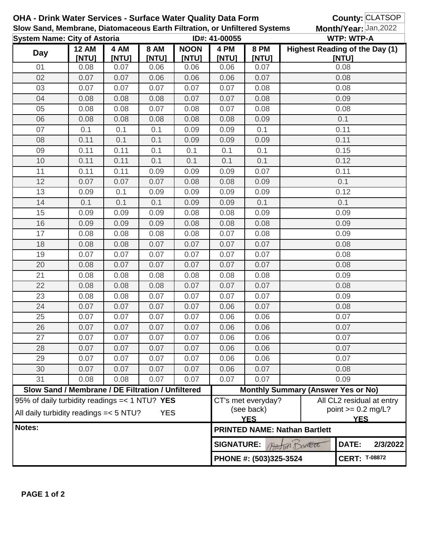|                                                                           |                                                   |               |                      | <b>OHA - Drink Water Services - Surface Water Quality Data Form</b> |               |                                                                  | County: CLATSOP                       |                       |                           |  |
|---------------------------------------------------------------------------|---------------------------------------------------|---------------|----------------------|---------------------------------------------------------------------|---------------|------------------------------------------------------------------|---------------------------------------|-----------------------|---------------------------|--|
| Slow Sand, Membrane, Diatomaceous Earth Filtration, or Unfiltered Systems |                                                   |               |                      |                                                                     |               |                                                                  |                                       | Month/Year: Jan, 2022 |                           |  |
| <b>System Name: City of Astoria</b>                                       |                                                   |               | ID#: 41-00055        |                                                                     |               | <b>WTP: WTP-A</b>                                                |                                       |                       |                           |  |
| <b>Day</b>                                                                | <b>12 AM</b>                                      | 4 AM<br>[NTU] | 8 AM<br><b>INTUI</b> | <b>NOON</b>                                                         | 4 PM          | <b>8 PM</b><br>[NTU]                                             | <b>Highest Reading of the Day (1)</b> |                       |                           |  |
| 01                                                                        | [NTU]<br>0.08                                     | 0.07          | 0.06                 | [NTU]<br>0.06                                                       | [NTU]<br>0.06 | 0.07                                                             |                                       | [NTU]<br>0.08         |                           |  |
| 02                                                                        | 0.07                                              | 0.07          | 0.06                 | 0.06                                                                | 0.06          | 0.07                                                             |                                       | 0.08                  |                           |  |
| 03                                                                        | 0.07                                              | 0.07          | 0.07                 | 0.07                                                                | 0.07          | 0.08                                                             |                                       | 0.08                  |                           |  |
| 04                                                                        | 0.08                                              | 0.08          | 0.08                 | 0.07                                                                | 0.07          | 0.08                                                             |                                       | 0.09                  |                           |  |
| 05                                                                        | 0.08                                              | 0.08          | 0.07                 | 0.08                                                                | 0.07          | 0.08                                                             |                                       | 0.08                  |                           |  |
| 06                                                                        | 0.08                                              | 0.08          | 0.08                 | 0.08                                                                | 0.08          | 0.09                                                             | 0.1                                   |                       |                           |  |
| 07                                                                        | 0.1                                               | 0.1           | 0.1                  | 0.09                                                                | 0.09          | 0.1                                                              |                                       | 0.11                  |                           |  |
| 08                                                                        | 0.11                                              | 0.1           | 0.1                  | 0.09                                                                | 0.09          | 0.09                                                             | 0.11                                  |                       |                           |  |
| 09                                                                        | 0.11                                              | 0.11          | 0.1                  | 0.1                                                                 | 0.1           | 0.1                                                              |                                       | 0.15                  |                           |  |
| 10                                                                        | 0.11                                              | 0.11          | 0.1                  | 0.1                                                                 | 0.1           | 0.1                                                              |                                       | 0.12                  |                           |  |
| 11                                                                        | 0.11                                              | 0.11          | 0.09                 | 0.09                                                                | 0.09          | 0.07                                                             |                                       | 0.11                  |                           |  |
| 12                                                                        | 0.07                                              | 0.07          | 0.07                 | 0.08                                                                | 0.08          | 0.09                                                             |                                       | 0.1                   |                           |  |
| 13                                                                        | 0.09                                              | 0.1           | 0.09                 | 0.09                                                                | 0.09          | 0.09                                                             |                                       | 0.12                  |                           |  |
| 14                                                                        | 0.1                                               | 0.1           | 0.1                  | 0.09                                                                | 0.09          | 0.1                                                              |                                       | 0.1                   |                           |  |
| 15                                                                        | 0.09                                              | 0.09          | 0.09                 | 0.08                                                                | 0.08          | 0.09                                                             |                                       | 0.09                  |                           |  |
| 16                                                                        | 0.09                                              | 0.09          | 0.09                 | 0.08                                                                | 0.08          | 0.08                                                             |                                       | 0.09                  |                           |  |
| 17                                                                        | 0.08                                              | 0.08          | 0.08                 | 0.08                                                                | 0.07          | 0.08                                                             |                                       | 0.09                  |                           |  |
| 18                                                                        | 0.08                                              | 0.08          | 0.07                 | 0.07                                                                | 0.07          | 0.07                                                             |                                       | 0.08                  |                           |  |
| 19                                                                        | 0.07                                              | 0.07          | 0.07                 | 0.07                                                                | 0.07          | 0.07                                                             |                                       | 0.08                  |                           |  |
| 20                                                                        | 0.08                                              | 0.07          | 0.07                 | 0.07                                                                | 0.07          | 0.07                                                             | 0.08                                  |                       |                           |  |
| 21                                                                        | 0.08                                              | 0.08          | 0.08                 | 0.08                                                                | 0.08          | 0.08                                                             | 0.09                                  |                       |                           |  |
| 22                                                                        | 0.08                                              | 0.08          | 0.08                 | 0.07                                                                | 0.07          | 0.07                                                             | 0.08                                  |                       |                           |  |
| 23                                                                        | 0.08                                              | 0.08          | 0.07                 | 0.07                                                                | 0.07          | 0.07                                                             | 0.09                                  |                       |                           |  |
| 24                                                                        | 0.07                                              | 0.07          | 0.07                 | 0.07                                                                | 0.06          | 0.07                                                             | 0.08                                  |                       |                           |  |
| 25                                                                        | 0.07                                              | 0.07          | 0.07                 | 0.07                                                                | 0.06          | 0.06                                                             | 0.07                                  |                       |                           |  |
| 26                                                                        | 0.07                                              | 0.07          | 0.07                 | 0.07                                                                | 0.06          | 0.06                                                             | 0.07                                  |                       |                           |  |
| 27                                                                        | 0.07                                              | 0.07          | 0.07                 | 0.07                                                                | 0.06          | 0.06                                                             | 0.07                                  |                       |                           |  |
| 28                                                                        | 0.07                                              | 0.07          | 0.07                 | 0.07                                                                | 0.06          | 0.06                                                             |                                       | 0.07                  |                           |  |
| 29                                                                        | 0.07                                              | 0.07          | 0.07                 | 0.07                                                                | 0.06          | 0.06                                                             |                                       | 0.07                  |                           |  |
| 30                                                                        | 0.07                                              | 0.07          | 0.07                 | 0.07                                                                | 0.06          | 0.07                                                             | 0.08                                  |                       |                           |  |
| 31                                                                        | 0.08                                              | 0.08          | 0.07                 | 0.07                                                                | 0.07          | 0.07                                                             |                                       | 0.09                  |                           |  |
|                                                                           | Slow Sand / Membrane / DE Filtration / Unfiltered |               |                      |                                                                     |               | <b>Monthly Summary (Answer Yes or No)</b><br>CT's met everyday?  |                                       |                       |                           |  |
|                                                                           | 95% of daily turbidity readings $=< 1 N T U?$ YES |               |                      |                                                                     |               |                                                                  |                                       |                       | All CL2 residual at entry |  |
| All daily turbidity readings = < 5 NTU?<br><b>YES</b>                     |                                                   |               |                      |                                                                     | (see back)    |                                                                  |                                       | point $>= 0.2$ mg/L?  |                           |  |
| Notes:                                                                    |                                                   |               |                      |                                                                     |               | <b>YES</b><br><b>YES</b><br><b>PRINTED NAME: Nathan Bartlett</b> |                                       |                       |                           |  |
|                                                                           |                                                   |               |                      | <b>SIGNATURE:</b>                                                   |               | DATE:                                                            | 2/3/2022                              |                       |                           |  |
|                                                                           |                                                   |               |                      |                                                                     |               | Austur Domete<br>PHONE #: (503)325-3524                          |                                       |                       | <b>CERT: T-08872</b>      |  |